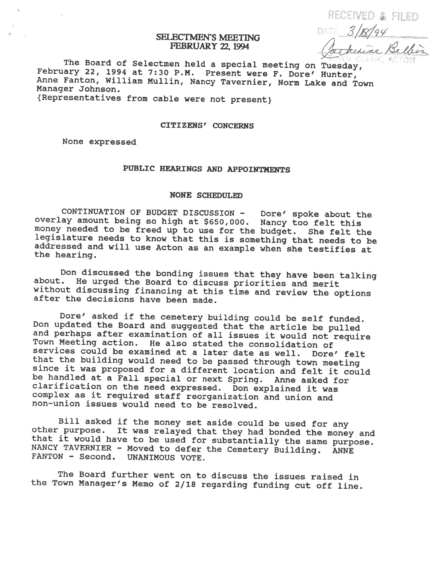RECEIVED & FILED

## SELECTMEN'S MEETING **FEBRUARY 22, 1994**

SELECTMEN'S MEETING<br>FEBRUARY 22, 1994<br>The Board of Selectmen held a special meeting on Tuesday,<br>February 22, 1994 at 7:30 P.M. Present were F. Dore' Hunter,<br>Anne Fanton, William Mullin, Nancy Tavernier, Norm Lake and Town<br>

{Representatives from cable were not present}

### CITIZENS' CONCERNS

None expressed

# PUBLIC HEARINGS AND APPOINTMENTS

#### NONE SCHEDULED

CONTINUATION OF BUDGET DISCUSSION - Dore' spoke about the overlay amount being so high at \$650,000. Nancy too felt this legislature needs to know that this is something that needs to be addressed and will use Acton as an example when she testifies at the hearing.

Don discussed the bonding issues that they have been talking about. He urged the Board to discuss priorities and merit without discussing financing at this time and review the options after the decisions have been made.

Done' asked if the cemetery building could be self funded.<br>Don updated the Board and suggested that the article be pulled<br>and perhaps after examination of all issues it would not require<br>Town Meeting action. He also stated

Bill asked if the money set aside could be used for any other purpose. It was relayed that they had bonded the money and that it would have to be used for substantially the same purpose. NANCY TAVERNIER - Moved to defer th NANCY TAVERNIER - Moved to defer the Cemetery Building.<br>FANTON - Second. UNANIMOUS VOTE.

The Board further went on to discuss the issues raised in the Town Manager's Memo of 2/18 regarding funding cut off line.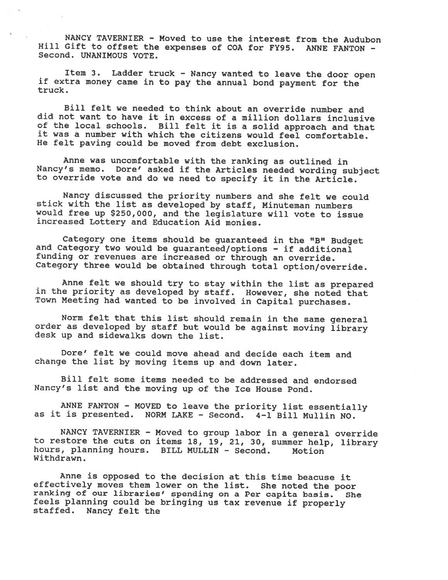NANCY TAVERNIER - Moved to use the interest from the Audubon Hill Gift to offset the expenses of COA for FY95. ANNE FANTON - Second. UNANIMOUS VOTE.

Item 3. Ladder truck — Nancy wanted to leave the door open if extra money came in to pay the annual bond payment for the truck.

Bill felt we needed to think about an override number and did not want to have it in excess of <sup>a</sup> million dollars inclusive of the local schools. Bill felt it is <sup>a</sup> solid approach and that it was <sup>a</sup> number with which the citizens would feel comfortable. He felt paving could be moved from debt exclusion.

Anne was uncomfortable with the ranking as outlined in Nancy's memo. Dore' asked if the Articles needed wording subject to override vote and do we need to specify it in the Article.

Nancy discussed the priority numbers and she felt we could stick with the list as developed by staff, Minuteman numbers would free up \$250,000, and the legislature will vote to issue increased Lottery and Education Aid monies.

Category one items should be guaranteed in the "B" Budget and Category two would be guaranteed/options - if additional funding or revenues are increased or through an override. Category three would be obtained through total option/override.

Anne felt we should try to stay within the list as prepared in the priority as developed by staff. However, she noted that Town Meeting had wanted to be involved in Capital purchases.

Norm felt that this list should remain in the same general order as developed by staff but would be against moving library desk up and sidewalks down the list.

Dore' felt we could move ahead and decide each item and change the list by moving items up and down later.

Bill felt some items needed to be addressed and endorsed Nancy's list and the moving up of the Ice House Pond.

ANNE FANTON - MOVED to leave the priority list essentially as it is presented. NORM LAKE - Second. 4-1 Bill Mullin NO.

NANCY TAVERNIER — Moved to group labor in <sup>a</sup> general override to restore the cuts on items 18, 19, 21, 30, summer help, library hours, <sup>p</sup>lanning hours. BILL MULLIN - Second. Motion Withdrawn.

Anne is opposed to the decision at this time beacuse it effectively moves them lower on the list. She noted the poor ranking of our libraries' spending on <sup>a</sup> Per capita basis. She feels <sup>p</sup>lanning could be bringing us tax revenue if properly staffed. Nancy felt the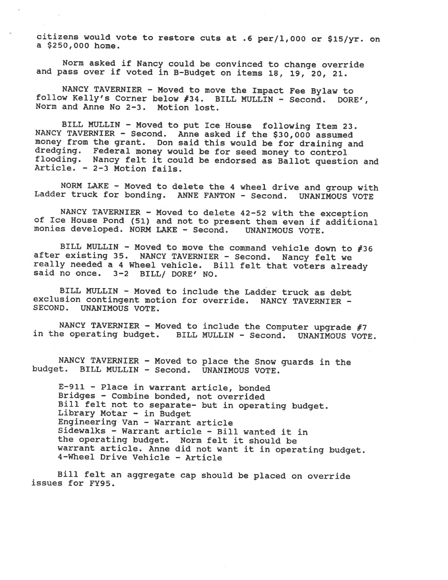citizens would vote to restore cuts at .6 per/l,000 or \$15/yr. on <sup>a</sup> \$250,000 home.

Norm asked if Nancy could be convinced to change override and pass over if voted in B-Budget on items 18, 19, 20, 21.

NANCY TAVERNIER - Moved to move the Impact Fee Bylaw to follow Kelly's Corner below #34. BILL MULLIN - Second. DORE', Norm and Anne No 2-3. Motion lost.

BILL MULLIN - Moved to put Ice House following Item 23.<br>NANCY TAVERNIER - Second. Anne asked if the \$30,000 assumed<br>money from the grant. Don said this would be for draining and dredging. Federal money would be for seed money to control<br>flooding. Nancy felt it could be endorsed as Ballot question and<br>Article. - 2-3 Motion fails.

NORM LAKE - Moved to delete the <sup>4</sup> wheel drive and group with Ladder truck for bonding. ANNE FANTON - Second. UNANIMOUS VOTE

NANCY TAVERNIER - Moved to delete 42-52 with the exception of Ice House Pond (51) and not to present them even if additional monies developed. NORM LAKE - Second. UNANIMOUS VOTE.

BILL MULLIN - Moved to move the command vehicle down to #36 after existing 35. NANCY TAVERNIER - Second. Nancy felt we really needed a 4 Wheel vehicle. Bill felt that voters already said no once. 3-2 BILL/ DORE' NO.

BILL MULLIN - Moved to include the Ladder truck as debt exclusion contingent motion for override. NANCY TAVERNIER - SECOND. UNANIMOUS VOTE.

NANCY TAVERNIER - Moved to include the Computer upgrade #7<br>in the operating budget. BILL MULLIN - Second. UNANIMOUS VOTE.

NANCY TAVERNIER - Moved to place the Snow guards in the budget. BILL MULLIN - Second. UNANIMOUS VOTE.

E-91l - Place in warrant article, bonded Bridges - Combine bonded, not overrided Bill felt not to separate- but in operating budget. Library Motar - in Budget Engineering Van — Warrant article Sidewalks — Warrant article - Bill wanted it in the operating budget. Norm felt it should be warrant article. Anne did not want it in operating budget. 4-Wheel Drive Vehicle - Article

Bill felt an aggregate cap should be <sup>p</sup>laced on override issues for FY95.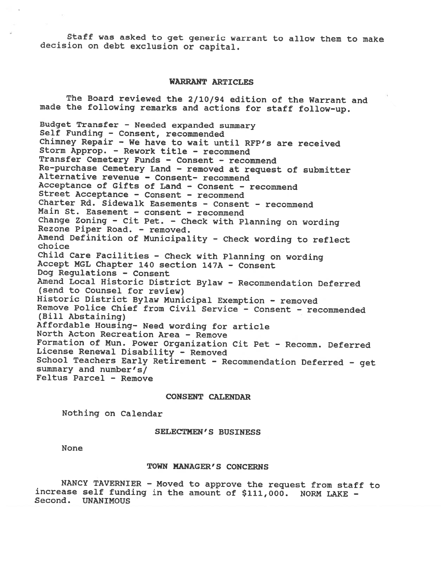Staff was asked to get generic warrant to allow them to make decision on debt exclusion or capital.

### WARRANT ARTICLES

The Board reviewed the 2/10/94 edition of the Warrant and made the following remarks and actions for staff follow-up. Budget Transfer - Needed expanded summary Self Funding - Consent, recommended Chimney Repair — We have to wait until RFP's are received Storm Approp. — Rework title — recommend Transfer Cemetery Funds — Consent — recommend Re—purchase Cemetery Land — removed at request of submitter Alternative revenue — Consent— recommend Acceptance of Gifts of Land — Consent — recommend Street Acceptance — Consent - recommend Charter Rd. Sidewalk Easements - Consent — recommend Main St. Easement — consent — recommend Change Zoning - Cit Pet. — Check with Planning on wording Rezone Piper Road. — removed. Amend Definition of Municipality - Check wording to reflect choice Child Care Facilities - Check with Planning on wording Accept MGL Chapter <sup>140</sup> section 147A - Consent Dog Regulations - Consent Amend Local Historic District Bylaw - Recommendation Deferred (send to Counsel for review) Historic District Bylaw Municipal Exemption - removed Remove Police Chief from Civil Service — Consent - recommended (Bill Abstaining) Affordable Housing- Need wording for article North Acton Recreation Area — Remove Formation of Mun. Power Organization Cit Pet — Recomm. Deferred License Renewal Disability - Removed School Teachers Early Retirement - Recommendation Deferred - get summary and number's/ Feltus Parcel — Remove

#### CONSENT CALENDAR

Nothing on Calendar

#### SELECTMEN'S BUSINESS

None

### TOWN MANAGER'S CONCERNS

NANCY TAVERNIER - Moved to approve the request from staff to increase self funding in the amount of \$111,000. NORM LAKE -Second. UNANIMOUS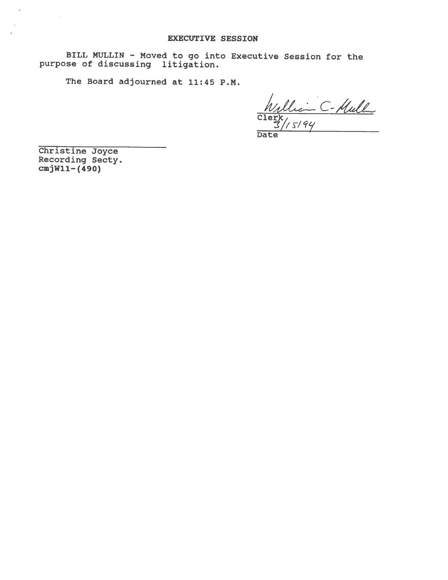BILL MULLIN - Moved to go into Executive Session for the purpose of discussing litigation.

The Board adjourned at 11:45 P.M.

- C-Mull Clerk  $5194$ 

Date

Christine Joyce Recording Secty. cmjWll—(490)